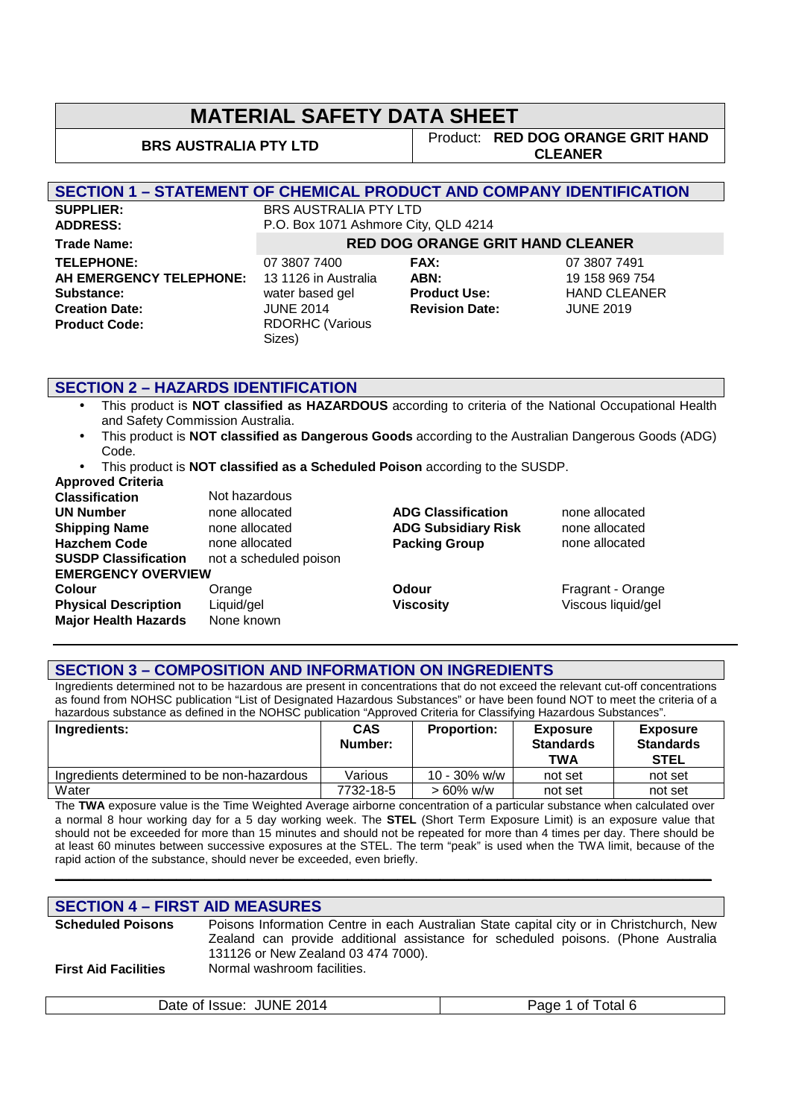**BRS AUSTRALIA PTY LTD** Product: **RED DOG ORANGE GRIT HAND CLEANER**

#### **SECTION 1 – STATEMENT OF CHEMICAL PRODUCT AND COMPANY IDENTIFICATION**

**SUPPLIER:** BRS AUSTRALIA PTY LTD **TELEPHONE:** 07 3807 7400 **FAX:** 07 3807 7491 **AH EMERGENCY TELEPHONE:** 13 1126 in Australia **ABN:** 19 158 969 754<br> **Substance:** THAND CLEANE water based gel **Product Use:** HAND CLEANE **Substance:** water based gel **Product Use:** HAND CLEANER **Creation Date:** JUNE 2014 **Revision Date:** JUNE 2019 **Product Code:** RDORHC (Various

**ADDRESS:** P.O. Box 1071 Ashmore City, QLD 4214 **Trade Name: RED DOG ORANGE GRIT HAND CLEANER**

Sizes)

#### **SECTION 2 – HAZARDS IDENTIFICATION**

- This product is **NOT classified as HAZARDOUS** according to criteria of the National Occupational Health and Safety Commission Australia.
- This product is **NOT classified as Dangerous Goods** according to the Australian Dangerous Goods (ADG) Code.
- This product is **NOT classified as a Scheduled Poison** according to the SUSDP. **Approved Criteria**

| Not hazardous             |                            |                    |
|---------------------------|----------------------------|--------------------|
| none allocated            | <b>ADG Classification</b>  | none allocated     |
| none allocated            | <b>ADG Subsidiary Risk</b> | none allocated     |
| none allocated            | <b>Packing Group</b>       | none allocated     |
| not a scheduled poison    |                            |                    |
| <b>EMERGENCY OVERVIEW</b> |                            |                    |
| Orange                    | Odour                      | Fragrant - Orange  |
| Liquid/gel                | <b>Viscosity</b>           | Viscous liquid/gel |
| None known                |                            |                    |
|                           |                            |                    |

#### **SECTION 3 – COMPOSITION AND INFORMATION ON INGREDIENTS**

Ingredients determined not to be hazardous are present in concentrations that do not exceed the relevant cut-off concentrations as found from NOHSC publication "List of Designated Hazardous Substances" or have been found NOT to meet the criteria of a hazardous substance as defined in the NOHSC publication "Approved Criteria for Classifying Hazardous Substances".

| Ingredients:                               | <b>CAS</b><br>Number: | <b>Proportion:</b> | <b>Exposure</b><br><b>Standards</b><br><b>TWA</b> | <b>Exposure</b><br><b>Standards</b><br><b>STEL</b> |
|--------------------------------------------|-----------------------|--------------------|---------------------------------------------------|----------------------------------------------------|
| Ingredients determined to be non-hazardous | Various               | $10 - 30\%$ w/w    | not set                                           | not set                                            |
| Water                                      | 7732-18-5             | $> 60\%$ w/w       | not set                                           | not set                                            |

The **TWA** exposure value is the Time Weighted Average airborne concentration of a particular substance when calculated over a normal 8 hour working day for a 5 day working week. The **STEL** (Short Term Exposure Limit) is an exposure value that should not be exceeded for more than 15 minutes and should not be repeated for more than 4 times per day. There should be at least 60 minutes between successive exposures at the STEL. The term "peak" is used when the TWA limit, because of the rapid action of the substance, should never be exceeded, even briefly.

**\_\_\_\_\_\_\_\_\_\_\_\_\_\_\_\_\_\_\_\_\_\_\_\_\_\_\_\_\_\_\_\_\_\_\_\_\_\_\_\_\_\_\_\_\_\_\_\_\_\_\_\_\_\_\_\_\_\_\_\_\_\_\_\_\_\_\_\_\_\_\_\_\_\_\_\_\_\_\_\_\_\_\_\_\_\_\_\_\_\_\_\_** 

#### **SECTION 4 – FIRST AID MEASURES**

| <b>Scheduled Poisons</b>    | Poisons Information Centre in each Australian State capital city or in Christchurch, New                                 |
|-----------------------------|--------------------------------------------------------------------------------------------------------------------------|
|                             | Zealand can provide additional assistance for scheduled poisons. (Phone Australia<br>131126 or New Zealand 03 474 7000). |
| <b>First Aid Facilities</b> | Normal washroom facilities.                                                                                              |

| Date of Issue: JUNE 2014 | Page 1 of Total 6 |
|--------------------------|-------------------|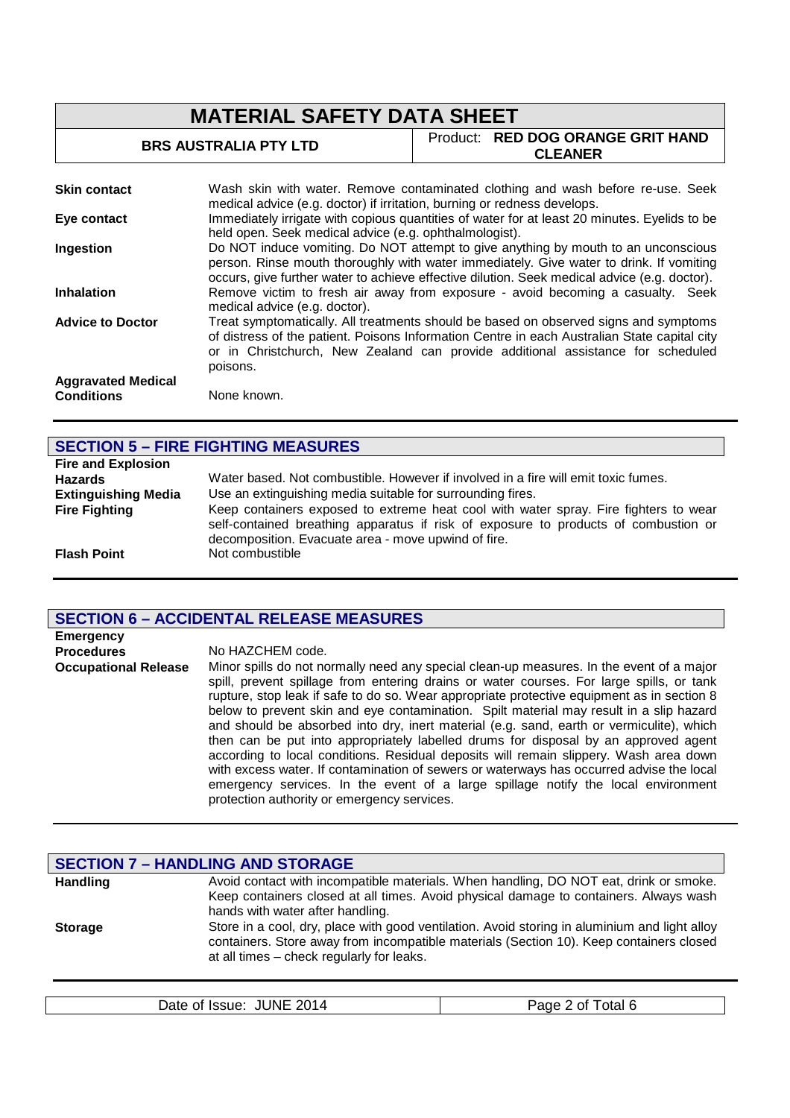| <b>MATERIAL SAFETY DATA SHEET</b>              |                                                                                                                                                                                                                                                                                     |                                                                                              |
|------------------------------------------------|-------------------------------------------------------------------------------------------------------------------------------------------------------------------------------------------------------------------------------------------------------------------------------------|----------------------------------------------------------------------------------------------|
| <b>BRS AUSTRALIA PTY LTD</b><br><b>CLEANER</b> |                                                                                                                                                                                                                                                                                     | Product: RED DOG ORANGE GRIT HAND                                                            |
| <b>Skin contact</b>                            | medical advice (e.g. doctor) if irritation, burning or redness develops.                                                                                                                                                                                                            | Wash skin with water. Remove contaminated clothing and wash before re-use. Seek              |
| Eye contact                                    | held open. Seek medical advice (e.g. ophthalmologist).                                                                                                                                                                                                                              | Immediately irrigate with copious quantities of water for at least 20 minutes. Eyelids to be |
| Ingestion                                      | Do NOT induce vomiting. Do NOT attempt to give anything by mouth to an unconscious<br>person. Rinse mouth thoroughly with water immediately. Give water to drink. If vomiting<br>occurs, give further water to achieve effective dilution. Seek medical advice (e.g. doctor).       |                                                                                              |
| <b>Inhalation</b>                              | Remove victim to fresh air away from exposure - avoid becoming a casualty. Seek<br>medical advice (e.g. doctor).                                                                                                                                                                    |                                                                                              |
| <b>Advice to Doctor</b>                        | Treat symptomatically. All treatments should be based on observed signs and symptoms<br>of distress of the patient. Poisons Information Centre in each Australian State capital city<br>or in Christchurch, New Zealand can provide additional assistance for scheduled<br>poisons. |                                                                                              |
| <b>Aggravated Medical</b><br><b>Conditions</b> | None known.                                                                                                                                                                                                                                                                         |                                                                                              |

## **SECTION 5 – FIRE FIGHTING MEASURES**

| <b>Fire and Explosion</b>  |                                                                                                                                                                                                                                    |
|----------------------------|------------------------------------------------------------------------------------------------------------------------------------------------------------------------------------------------------------------------------------|
| <b>Hazards</b>             | Water based. Not combustible. However if involved in a fire will emit toxic fumes.                                                                                                                                                 |
| <b>Extinguishing Media</b> | Use an extinguishing media suitable for surrounding fires.                                                                                                                                                                         |
| <b>Fire Fighting</b>       | Keep containers exposed to extreme heat cool with water spray. Fire fighters to wear<br>self-contained breathing apparatus if risk of exposure to products of combustion or<br>decomposition. Evacuate area - move upwind of fire. |
| <b>Flash Point</b>         | Not combustible                                                                                                                                                                                                                    |

## **SECTION 6 – ACCIDENTAL RELEASE MEASURES**

| <b>Emergency</b>            |                                                                                                                                                                                                                                                                                                                                                                                                                                                                                                                                                                                                                                                                                                                                                                                                                                                                                           |
|-----------------------------|-------------------------------------------------------------------------------------------------------------------------------------------------------------------------------------------------------------------------------------------------------------------------------------------------------------------------------------------------------------------------------------------------------------------------------------------------------------------------------------------------------------------------------------------------------------------------------------------------------------------------------------------------------------------------------------------------------------------------------------------------------------------------------------------------------------------------------------------------------------------------------------------|
| <b>Procedures</b>           | No HAZCHEM code.                                                                                                                                                                                                                                                                                                                                                                                                                                                                                                                                                                                                                                                                                                                                                                                                                                                                          |
| <b>Occupational Release</b> | Minor spills do not normally need any special clean-up measures. In the event of a major<br>spill, prevent spillage from entering drains or water courses. For large spills, or tank<br>rupture, stop leak if safe to do so. Wear appropriate protective equipment as in section 8<br>below to prevent skin and eye contamination. Spilt material may result in a slip hazard<br>and should be absorbed into dry, inert material (e.g. sand, earth or vermiculite), which<br>then can be put into appropriately labelled drums for disposal by an approved agent<br>according to local conditions. Residual deposits will remain slippery. Wash area down<br>with excess water. If contamination of sewers or waterways has occurred advise the local<br>emergency services. In the event of a large spillage notify the local environment<br>protection authority or emergency services. |

|                 | <b>SECTION 7 - HANDLING AND STORAGE</b>                                                                                                                                                                                               |
|-----------------|---------------------------------------------------------------------------------------------------------------------------------------------------------------------------------------------------------------------------------------|
| <b>Handling</b> | Avoid contact with incompatible materials. When handling, DO NOT eat, drink or smoke.<br>Keep containers closed at all times. Avoid physical damage to containers. Always wash<br>hands with water after handling.                    |
| <b>Storage</b>  | Store in a cool, dry, place with good ventilation. Avoid storing in aluminium and light alloy<br>containers. Store away from incompatible materials (Section 10). Keep containers closed<br>at all times – check regularly for leaks. |

| . | <b>INF</b><br>2014<br>Jate<br>-Issue <sup>-</sup><br>0T | <u>Anry</u><br>otal<br>0T |
|---|---------------------------------------------------------|---------------------------|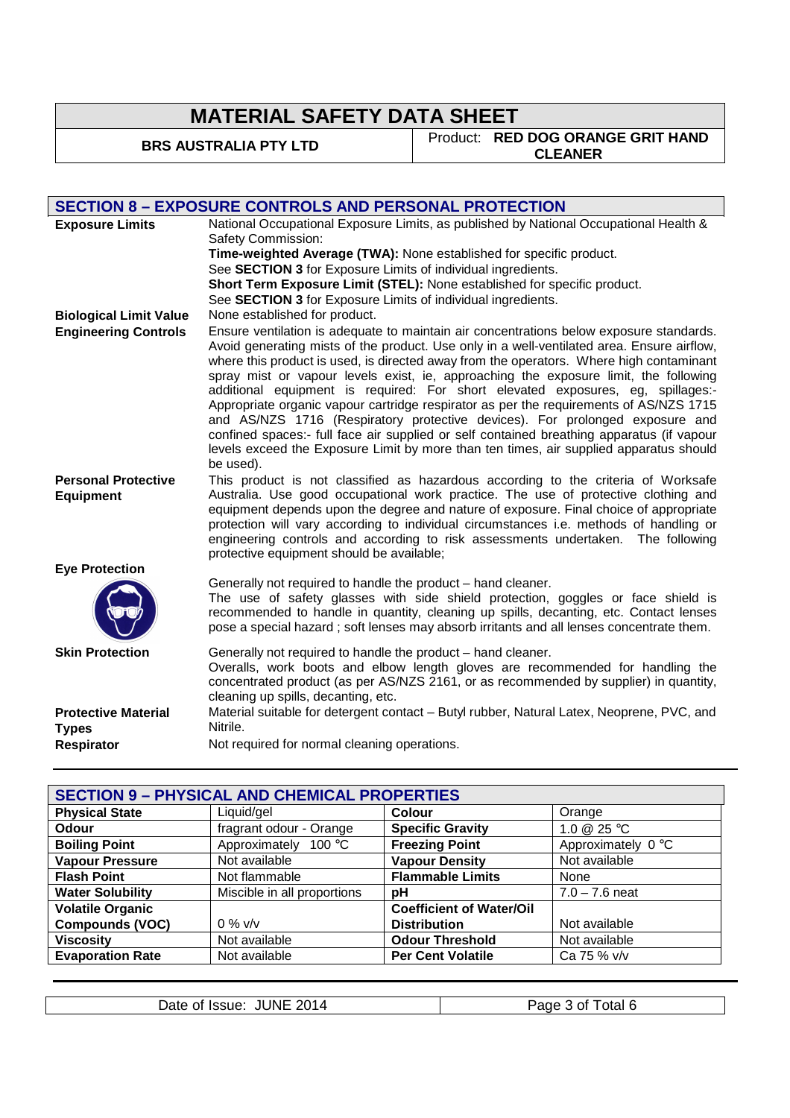**BRS AUSTRALIA PTY LTD** Product: **RED DOG ORANGE GRIT HAND CLEANER**

|                                                          | <b>SECTION 8 - EXPOSURE CONTROLS AND PERSONAL PROTECTION</b>                                                                                                                                                                                                                                                                                                                                                                                                                                                                                                                                                                                                                                                                                                                                                                              |
|----------------------------------------------------------|-------------------------------------------------------------------------------------------------------------------------------------------------------------------------------------------------------------------------------------------------------------------------------------------------------------------------------------------------------------------------------------------------------------------------------------------------------------------------------------------------------------------------------------------------------------------------------------------------------------------------------------------------------------------------------------------------------------------------------------------------------------------------------------------------------------------------------------------|
| <b>Exposure Limits</b>                                   | National Occupational Exposure Limits, as published by National Occupational Health &<br>Safety Commission:                                                                                                                                                                                                                                                                                                                                                                                                                                                                                                                                                                                                                                                                                                                               |
|                                                          | Time-weighted Average (TWA): None established for specific product.                                                                                                                                                                                                                                                                                                                                                                                                                                                                                                                                                                                                                                                                                                                                                                       |
|                                                          | See SECTION 3 for Exposure Limits of individual ingredients.                                                                                                                                                                                                                                                                                                                                                                                                                                                                                                                                                                                                                                                                                                                                                                              |
|                                                          | Short Term Exposure Limit (STEL): None established for specific product.                                                                                                                                                                                                                                                                                                                                                                                                                                                                                                                                                                                                                                                                                                                                                                  |
|                                                          | See SECTION 3 for Exposure Limits of individual ingredients.                                                                                                                                                                                                                                                                                                                                                                                                                                                                                                                                                                                                                                                                                                                                                                              |
| <b>Biological Limit Value</b>                            | None established for product.                                                                                                                                                                                                                                                                                                                                                                                                                                                                                                                                                                                                                                                                                                                                                                                                             |
| <b>Engineering Controls</b>                              | Ensure ventilation is adequate to maintain air concentrations below exposure standards.<br>Avoid generating mists of the product. Use only in a well-ventilated area. Ensure airflow,<br>where this product is used, is directed away from the operators. Where high contaminant<br>spray mist or vapour levels exist, ie, approaching the exposure limit, the following<br>additional equipment is required: For short elevated exposures, eg, spillages:-<br>Appropriate organic vapour cartridge respirator as per the requirements of AS/NZS 1715<br>and AS/NZS 1716 (Respiratory protective devices). For prolonged exposure and<br>confined spaces:- full face air supplied or self contained breathing apparatus (if vapour<br>levels exceed the Exposure Limit by more than ten times, air supplied apparatus should<br>be used). |
| <b>Personal Protective</b><br><b>Equipment</b>           | This product is not classified as hazardous according to the criteria of Worksafe<br>Australia. Use good occupational work practice. The use of protective clothing and<br>equipment depends upon the degree and nature of exposure. Final choice of appropriate<br>protection will vary according to individual circumstances i.e. methods of handling or<br>engineering controls and according to risk assessments undertaken. The following<br>protective equipment should be available;                                                                                                                                                                                                                                                                                                                                               |
| <b>Eye Protection</b>                                    |                                                                                                                                                                                                                                                                                                                                                                                                                                                                                                                                                                                                                                                                                                                                                                                                                                           |
|                                                          | Generally not required to handle the product - hand cleaner.<br>The use of safety glasses with side shield protection, goggles or face shield is<br>recommended to handle in quantity, cleaning up spills, decanting, etc. Contact lenses<br>pose a special hazard; soft lenses may absorb irritants and all lenses concentrate them.                                                                                                                                                                                                                                                                                                                                                                                                                                                                                                     |
| <b>Skin Protection</b>                                   | Generally not required to handle the product - hand cleaner.<br>Overalls, work boots and elbow length gloves are recommended for handling the<br>concentrated product (as per AS/NZS 2161, or as recommended by supplier) in quantity,<br>cleaning up spills, decanting, etc.                                                                                                                                                                                                                                                                                                                                                                                                                                                                                                                                                             |
| <b>Protective Material</b><br><b>Types</b><br>Respirator | Material suitable for detergent contact - Butyl rubber, Natural Latex, Neoprene, PVC, and<br>Nitrile.<br>Not required for normal cleaning operations.                                                                                                                                                                                                                                                                                                                                                                                                                                                                                                                                                                                                                                                                                     |

| <b>SECTION 9 - PHYSICAL AND CHEMICAL PROPERTIES</b> |                             |                                 |                    |
|-----------------------------------------------------|-----------------------------|---------------------------------|--------------------|
| <b>Physical State</b>                               | Liquid/gel                  | <b>Colour</b>                   | Orange             |
| <b>Odour</b>                                        | fragrant odour - Orange     | <b>Specific Gravity</b>         | 1.0 @ 25 °C        |
| <b>Boiling Point</b>                                | Approximately 100 °C        | <b>Freezing Point</b>           | Approximately 0 °C |
| <b>Vapour Pressure</b>                              | Not available               | <b>Vapour Density</b>           | Not available      |
| <b>Flash Point</b>                                  | Not flammable               | <b>Flammable Limits</b>         | None               |
| <b>Water Solubility</b>                             | Miscible in all proportions | рH                              | $7.0 - 7.6$ neat   |
| <b>Volatile Organic</b>                             |                             | <b>Coefficient of Water/Oil</b> |                    |
| <b>Compounds (VOC)</b>                              | $0\%$ v/v                   | <b>Distribution</b>             | Not available      |
| <b>Viscosity</b>                                    | Not available               | <b>Odour Threshold</b>          | Not available      |
| <b>Evaporation Rate</b>                             | Not available               | <b>Per Cent Volatile</b>        | Ca 75 % v/v        |
|                                                     |                             |                                 |                    |

| <b>JUNE</b>    | otal 6 |
|----------------|--------|
| 2014           | Page   |
| Date of Issue: | n of   |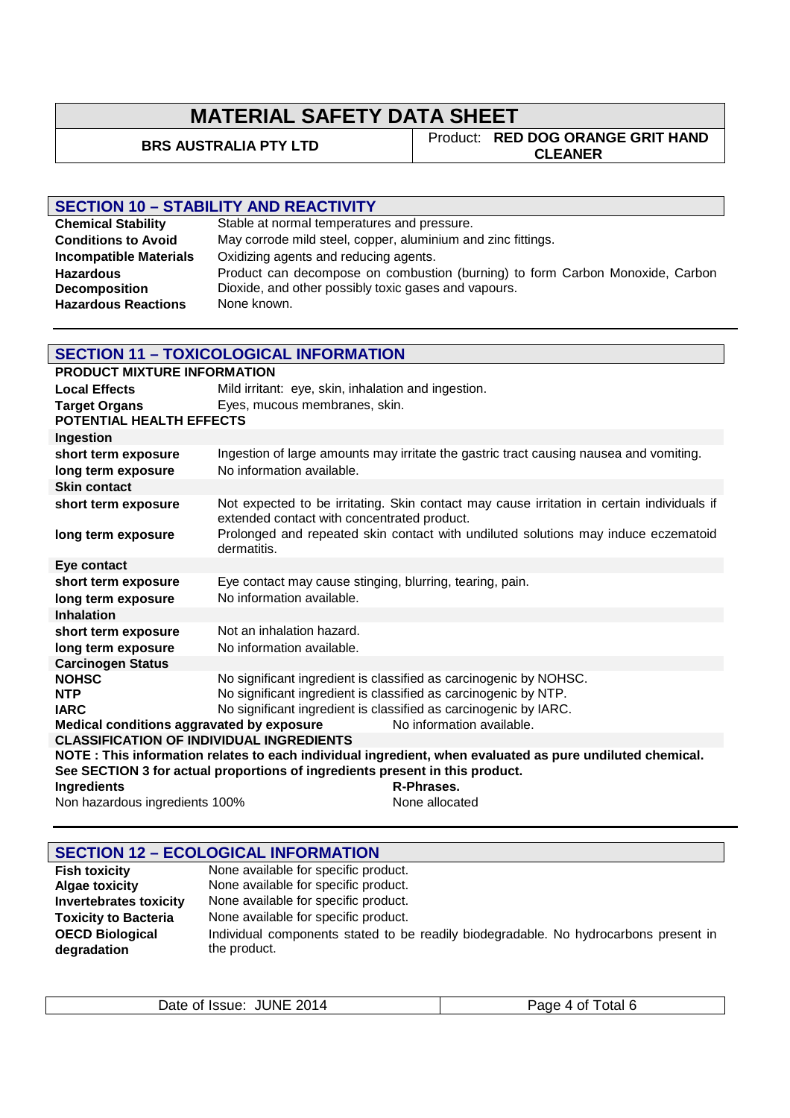**BRS AUSTRALIA PTY LTD** Product: **RED DOG ORANGE GRIT HAND CLEANER**

## **SECTION 10 – STABILITY AND REACTIVITY**

| <b>Chemical Stability</b>     | Stable at normal temperatures and pressure.                                   |
|-------------------------------|-------------------------------------------------------------------------------|
| <b>Conditions to Avoid</b>    | May corrode mild steel, copper, aluminium and zinc fittings.                  |
| <b>Incompatible Materials</b> | Oxidizing agents and reducing agents.                                         |
| <b>Hazardous</b>              | Product can decompose on combustion (burning) to form Carbon Monoxide, Carbon |
| <b>Decomposition</b>          | Dioxide, and other possibly toxic gases and vapours.                          |
| <b>Hazardous Reactions</b>    | None known.                                                                   |

## **SECTION 11 – TOXICOLOGICAL INFORMATION**

| <b>PRODUCT MIXTURE INFORMATION</b>              |                                                                              |                                                                                                           |
|-------------------------------------------------|------------------------------------------------------------------------------|-----------------------------------------------------------------------------------------------------------|
| <b>Local Effects</b>                            | Mild irritant: eye, skin, inhalation and ingestion.                          |                                                                                                           |
| <b>Target Organs</b>                            | Eyes, mucous membranes, skin.                                                |                                                                                                           |
| POTENTIAL HEALTH EFFECTS                        |                                                                              |                                                                                                           |
| Ingestion                                       |                                                                              |                                                                                                           |
| short term exposure                             |                                                                              | Ingestion of large amounts may irritate the gastric tract causing nausea and vomiting.                    |
| long term exposure                              | No information available.                                                    |                                                                                                           |
| <b>Skin contact</b>                             |                                                                              |                                                                                                           |
| short term exposure                             | extended contact with concentrated product.                                  | Not expected to be irritating. Skin contact may cause irritation in certain individuals if                |
| long term exposure                              | dermatitis.                                                                  | Prolonged and repeated skin contact with undiluted solutions may induce eczematoid                        |
| Eye contact                                     |                                                                              |                                                                                                           |
| short term exposure                             | Eye contact may cause stinging, blurring, tearing, pain.                     |                                                                                                           |
| long term exposure                              | No information available.                                                    |                                                                                                           |
| <b>Inhalation</b>                               |                                                                              |                                                                                                           |
| short term exposure                             | Not an inhalation hazard.                                                    |                                                                                                           |
| long term exposure                              | No information available.                                                    |                                                                                                           |
| <b>Carcinogen Status</b>                        |                                                                              |                                                                                                           |
| <b>NOHSC</b>                                    | No significant ingredient is classified as carcinogenic by NOHSC.            |                                                                                                           |
| <b>NTP</b>                                      | No significant ingredient is classified as carcinogenic by NTP.              |                                                                                                           |
| <b>IARC</b>                                     | No significant ingredient is classified as carcinogenic by IARC.             | No information available.                                                                                 |
| <b>CLASSIFICATION OF INDIVIDUAL INGREDIENTS</b> | Medical conditions aggravated by exposure                                    |                                                                                                           |
|                                                 |                                                                              | NOTE : This information relates to each individual ingredient, when evaluated as pure undiluted chemical. |
|                                                 | See SECTION 3 for actual proportions of ingredients present in this product. |                                                                                                           |
| Ingredients                                     |                                                                              | R-Phrases.                                                                                                |
| Non hazardous ingredients 100%                  |                                                                              | None allocated                                                                                            |

|                               | <b>SECTION 12 - ECOLOGICAL INFORMATION</b>                                           |
|-------------------------------|--------------------------------------------------------------------------------------|
| <b>Fish toxicity</b>          | None available for specific product.                                                 |
| <b>Algae toxicity</b>         | None available for specific product.                                                 |
| <b>Invertebrates toxicity</b> | None available for specific product.                                                 |
| <b>Toxicity to Bacteria</b>   | None available for specific product.                                                 |
| <b>OECD Biological</b>        | Individual components stated to be readily biodegradable. No hydrocarbons present in |
| degradation                   | the product.                                                                         |
|                               |                                                                                      |

| Date of Issue: JUNE 2014 | Page 4 of Total 6 |
|--------------------------|-------------------|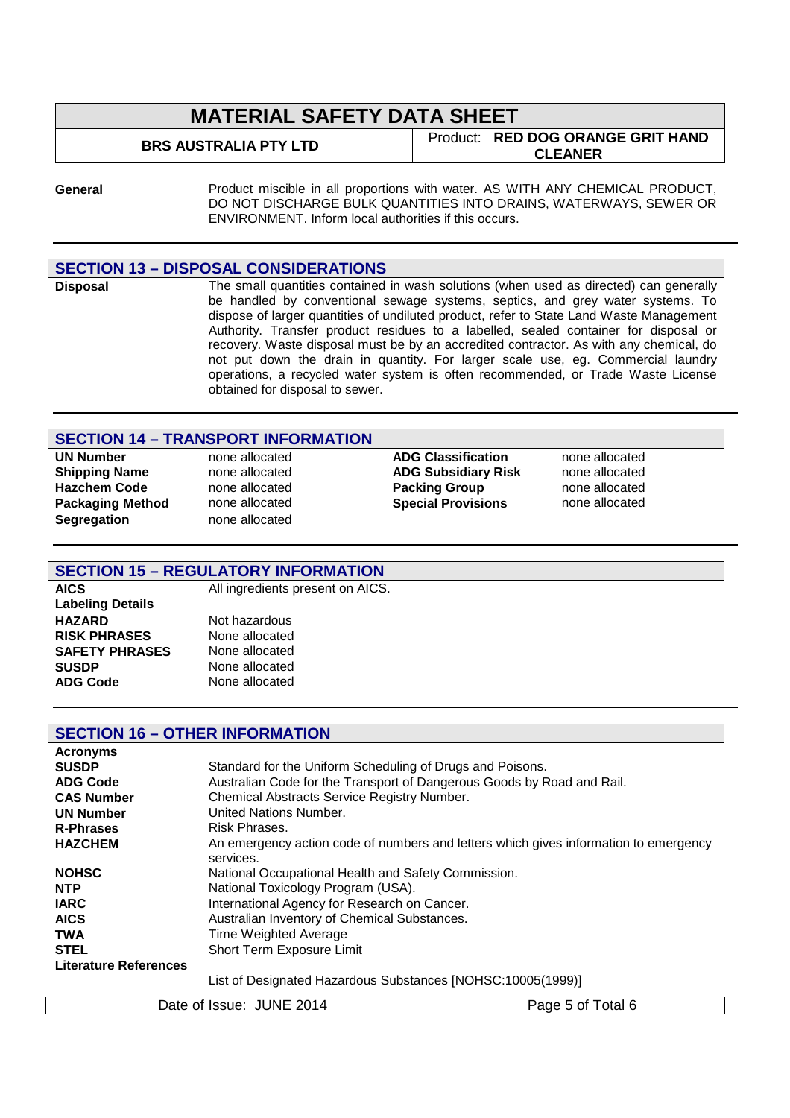**BRS AUSTRALIA PTY LTD** Product: **RED DOG ORANGE GRIT HAND CLEANER**

**General** Product miscible in all proportions with water. AS WITH ANY CHEMICAL PRODUCT, DO NOT DISCHARGE BULK QUANTITIES INTO DRAINS, WATERWAYS, SEWER OR ENVIRONMENT. Inform local authorities if this occurs.

#### **SECTION 13 – DISPOSAL CONSIDERATIONS**

**Disposal** The small quantities contained in wash solutions (when used as directed) can generally be handled by conventional sewage systems, septics, and grey water systems. To dispose of larger quantities of undiluted product, refer to State Land Waste Management Authority. Transfer product residues to a labelled, sealed container for disposal or recovery. Waste disposal must be by an accredited contractor. As with any chemical, do not put down the drain in quantity. For larger scale use, eg. Commercial laundry operations, a recycled water system is often recommended, or Trade Waste License obtained for disposal to sewer.

### **SECTION 14 – TRANSPORT INFORMATION**

**Segregation** none allocated

**UN Number** none allocated **ADG Classification** none allocated **Shipping Name** none allocated **ADG Subsidiary Risk** none allocated **Hazchem Code** none allocated **Packing Group** none allocated **Packaging Method** none allocated **Special Provisions** none allocated

### **SECTION 15 – REGULATORY INFORMATION**

**AICS** All ingredients present on AICS. **Labeling Details RISK PHRASES** None allocated **SAFETY PHRASES** None allocated **SUSDP** None allocated **ADG Code** None allocated

**Not hazardous** 

### **SECTION 16 – OTHER INFORMATION**

| <b>Acronyms</b>              |                                                                                      |
|------------------------------|--------------------------------------------------------------------------------------|
| <b>SUSDP</b>                 | Standard for the Uniform Scheduling of Drugs and Poisons.                            |
| <b>ADG Code</b>              | Australian Code for the Transport of Dangerous Goods by Road and Rail.               |
| <b>CAS Number</b>            | Chemical Abstracts Service Registry Number.                                          |
| <b>UN Number</b>             | United Nations Number.                                                               |
| <b>R-Phrases</b>             | Risk Phrases.                                                                        |
| <b>HAZCHEM</b>               | An emergency action code of numbers and letters which gives information to emergency |
|                              | services.                                                                            |
| <b>NOHSC</b>                 | National Occupational Health and Safety Commission.                                  |
| <b>NTP</b>                   | National Toxicology Program (USA).                                                   |
| <b>IARC</b>                  | International Agency for Research on Cancer.                                         |
| <b>AICS</b>                  | Australian Inventory of Chemical Substances.                                         |
| <b>TWA</b>                   | Time Weighted Average                                                                |
| <b>STEL</b>                  | Short Term Exposure Limit                                                            |
| <b>Literature References</b> |                                                                                      |
|                              | List of Designated Hazardous Substances [NOHSC:10005(1999)]                          |

| <b>JUNE</b><br>2014<br>Date of Issue:<br>otal 6<br>Page 5<br>. p 01 ' |
|-----------------------------------------------------------------------|
|-----------------------------------------------------------------------|